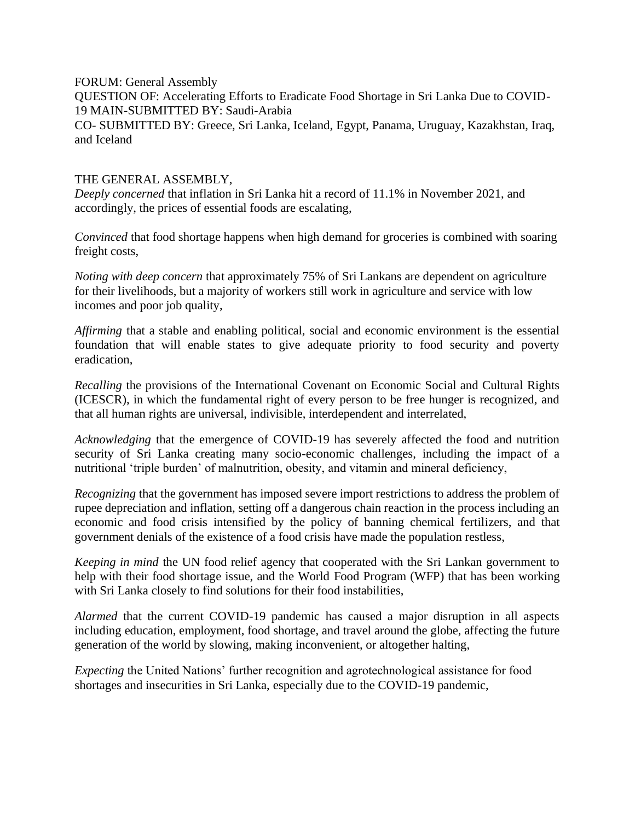FORUM: General Assembly QUESTION OF: Accelerating Efforts to Eradicate Food Shortage in Sri Lanka Due to COVID-19 MAIN-SUBMITTED BY: Saudi-Arabia CO- SUBMITTED BY: Greece, Sri Lanka, Iceland, Egypt, Panama, Uruguay, Kazakhstan, Iraq, and Iceland

## THE GENERAL ASSEMBLY,

*Deeply concerned* that inflation in Sri Lanka hit a record of 11.1% in November 2021, and accordingly, the prices of essential foods are escalating,

*Convinced* that food shortage happens when high demand for groceries is combined with soaring freight costs,

*Noting with deep concern* that approximately 75% of Sri Lankans are dependent on agriculture for their livelihoods, but a majority of workers still work in agriculture and service with low incomes and poor job quality,

*Affirming* that a stable and enabling political, social and economic environment is the essential foundation that will enable states to give adequate priority to food security and poverty eradication,

*Recalling* the provisions of the International Covenant on Economic Social and Cultural Rights (ICESCR), in which the fundamental right of every person to be free hunger is recognized, and that all human rights are universal, indivisible, interdependent and interrelated,

*Acknowledging* that the emergence of COVID-19 has severely affected the food and nutrition security of Sri Lanka creating many socio-economic challenges, including the impact of a nutritional 'triple burden' of malnutrition, obesity, and vitamin and mineral deficiency,

*Recognizing* that the government has imposed severe import restrictions to address the problem of rupee depreciation and inflation, setting off a dangerous chain reaction in the process including an economic and food crisis intensified by the policy of banning chemical fertilizers, and that government denials of the existence of a food crisis have made the population restless,

*Keeping in mind* the UN food relief agency that cooperated with the Sri Lankan government to help with their food shortage issue, and the World Food Program (WFP) that has been working with Sri Lanka closely to find solutions for their food instabilities,

*Alarmed* that the current COVID-19 pandemic has caused a major disruption in all aspects including education, employment, food shortage, and travel around the globe, affecting the future generation of the world by slowing, making inconvenient, or altogether halting,

*Expecting* the United Nations' further recognition and agrotechnological assistance for food shortages and insecurities in Sri Lanka, especially due to the COVID-19 pandemic,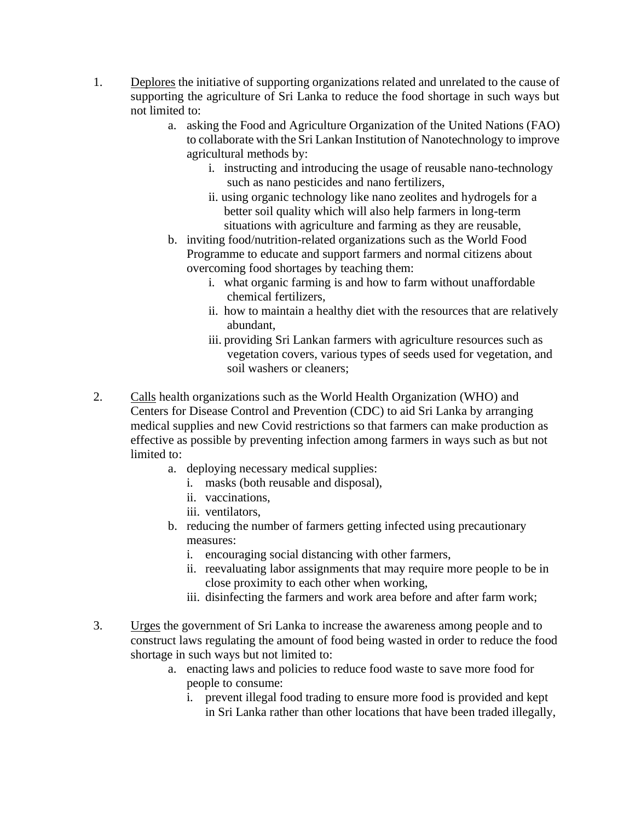- 1. Deplores the initiative of supporting organizations related and unrelated to the cause of supporting the agriculture of Sri Lanka to reduce the food shortage in such ways but not limited to:
	- a. asking the Food and Agriculture Organization of the United Nations (FAO) to collaborate with the Sri Lankan Institution of Nanotechnology to improve agricultural methods by:
		- i. instructing and introducing the usage of reusable nano-technology such as nano pesticides and nano fertilizers,
		- ii. using organic technology like nano zeolites and hydrogels for a better soil quality which will also help farmers in long-term situations with agriculture and farming as they are reusable,
	- b. inviting food/nutrition-related organizations such as the World Food Programme to educate and support farmers and normal citizens about overcoming food shortages by teaching them:
		- i. what organic farming is and how to farm without unaffordable chemical fertilizers,
		- ii. how to maintain a healthy diet with the resources that are relatively abundant,
		- iii. providing Sri Lankan farmers with agriculture resources such as vegetation covers, various types of seeds used for vegetation, and soil washers or cleaners;
- 2. Calls health organizations such as the World Health Organization (WHO) and Centers for Disease Control and Prevention (CDC) to aid Sri Lanka by arranging medical supplies and new Covid restrictions so that farmers can make production as effective as possible by preventing infection among farmers in ways such as but not limited to:
	- a. deploying necessary medical supplies:
		- i. masks (both reusable and disposal),
		- ii. vaccinations,
		- iii. ventilators,
	- b. reducing the number of farmers getting infected using precautionary measures:
		- i. encouraging social distancing with other farmers,
		- ii. reevaluating labor assignments that may require more people to be in close proximity to each other when working,
		- iii. disinfecting the farmers and work area before and after farm work;
- 3. Urges the government of Sri Lanka to increase the awareness among people and to construct laws regulating the amount of food being wasted in order to reduce the food shortage in such ways but not limited to:
	- a. enacting laws and policies to reduce food waste to save more food for people to consume:
		- i. prevent illegal food trading to ensure more food is provided and kept in Sri Lanka rather than other locations that have been traded illegally,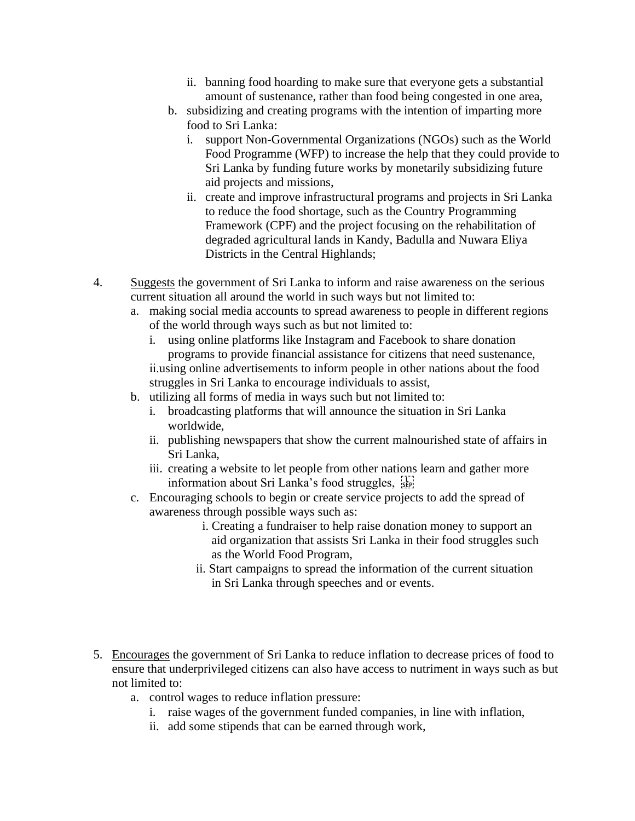- ii. banning food hoarding to make sure that everyone gets a substantial amount of sustenance, rather than food being congested in one area,
- b. subsidizing and creating programs with the intention of imparting more food to Sri Lanka:
	- i. support Non-Governmental Organizations (NGOs) such as the World Food Programme (WFP) to increase the help that they could provide to Sri Lanka by funding future works by monetarily subsidizing future aid projects and missions,
	- ii. create and improve infrastructural programs and projects in Sri Lanka to reduce the food shortage, such as the Country Programming Framework (CPF) and the project focusing on the rehabilitation of degraded agricultural lands in Kandy, Badulla and Nuwara Eliya Districts in the Central Highlands;
- 4. Suggests the government of Sri Lanka to inform and raise awareness on the serious current situation all around the world in such ways but not limited to:
	- a. making social media accounts to spread awareness to people in different regions of the world through ways such as but not limited to:
		- i. using online platforms like Instagram and Facebook to share donation programs to provide financial assistance for citizens that need sustenance, ii.using online advertisements to inform people in other nations about the food struggles in Sri Lanka to encourage individuals to assist,
	- b. utilizing all forms of media in ways such but not limited to:
		- i. broadcasting platforms that will announce the situation in Sri Lanka worldwide,
		- ii. publishing newspapers that show the current malnourished state of affairs in Sri Lanka,
		- iii. creating a website to let people from other nations learn and gather more information about Sri Lanka's food struggles, see
	- c. Encouraging schools to begin or create service projects to add the spread of awareness through possible ways such as:
		- i. Creating a fundraiser to help raise donation money to support an aid organization that assists Sri Lanka in their food struggles such as the World Food Program,
		- ii. Start campaigns to spread the information of the current situation in Sri Lanka through speeches and or events.
- 5. Encourages the government of Sri Lanka to reduce inflation to decrease prices of food to ensure that underprivileged citizens can also have access to nutriment in ways such as but not limited to:
	- a. control wages to reduce inflation pressure:
		- i. raise wages of the government funded companies, in line with inflation,
		- ii. add some stipends that can be earned through work,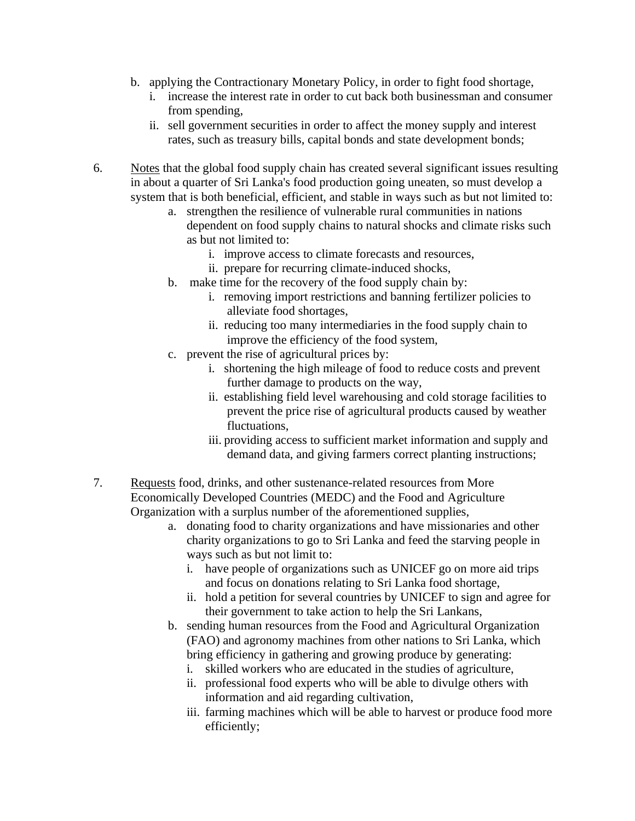- b. applying the Contractionary Monetary Policy, in order to fight food shortage,
	- i. increase the interest rate in order to cut back both businessman and consumer from spending,
	- ii. sell government securities in order to affect the money supply and interest rates, such as treasury bills, capital bonds and state development bonds;
- 6. Notes that the global food supply chain has created several significant issues resulting in about a quarter of Sri Lanka's food production going uneaten, so must develop a system that is both beneficial, efficient, and stable in ways such as but not limited to:
	- a. strengthen the resilience of vulnerable rural communities in nations dependent on food supply chains to natural shocks and climate risks such as but not limited to:
		- i. improve access to climate forecasts and resources,
		- ii. prepare for recurring climate-induced shocks,
	- b. make time for the recovery of the food supply chain by:
		- i. removing import restrictions and banning fertilizer policies to alleviate food shortages,
		- ii. reducing too many intermediaries in the food supply chain to improve the efficiency of the food system,
	- c. prevent the rise of agricultural prices by:
		- i. shortening the high mileage of food to reduce costs and prevent further damage to products on the way,
		- ii. establishing field level warehousing and cold storage facilities to prevent the price rise of agricultural products caused by weather fluctuations,
		- iii. providing access to sufficient market information and supply and demand data, and giving farmers correct planting instructions;
- 7. Requests food, drinks, and other sustenance-related resources from More Economically Developed Countries (MEDC) and the Food and Agriculture Organization with a surplus number of the aforementioned supplies,
	- a. donating food to charity organizations and have missionaries and other charity organizations to go to Sri Lanka and feed the starving people in ways such as but not limit to:
		- i. have people of organizations such as UNICEF go on more aid trips and focus on donations relating to Sri Lanka food shortage,
		- ii. hold a petition for several countries by UNICEF to sign and agree for their government to take action to help the Sri Lankans,
	- b. sending human resources from the Food and Agricultural Organization (FAO) and agronomy machines from other nations to Sri Lanka, which bring efficiency in gathering and growing produce by generating:
		- i. skilled workers who are educated in the studies of agriculture,
		- ii. professional food experts who will be able to divulge others with information and aid regarding cultivation,
		- iii. farming machines which will be able to harvest or produce food more efficiently;